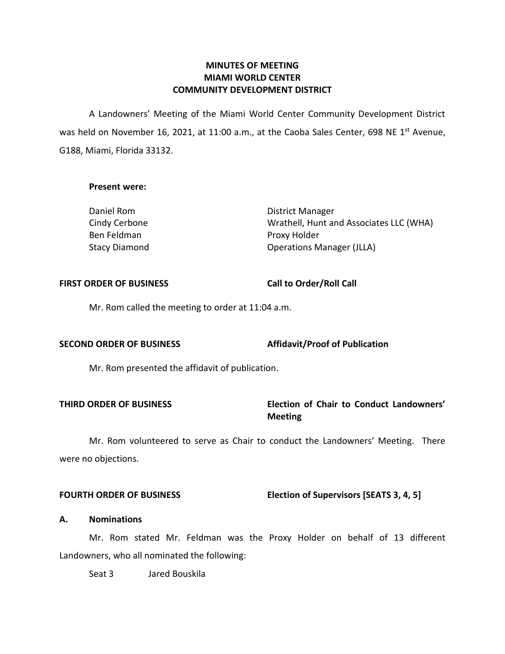### **MINUTES OF MEETING MIAMI WORLD CENTER COMMUNITY DEVELOPMENT DISTRICT**

 A Landowners' Meeting of the Miami World Center Community Development District was held on November 16, 2021, at 11:00 a.m., at the Caoba Sales Center, 698 NE 1<sup>st</sup> Avenue, G188, Miami, Florida 33132.

#### **Present were:**

| Daniel Rom           | District Manager                        |
|----------------------|-----------------------------------------|
| Cindy Cerbone        | Wrathell, Hunt and Associates LLC (WHA) |
| Ben Feldman          | Proxy Holder                            |
| <b>Stacy Diamond</b> | <b>Operations Manager (JLLA)</b>        |

#### FIRST ORDER OF BUSINESS Call to Order/Roll Call

Mr. Rom called the meeting to order at 11:04 a.m.

#### **SECOND ORDER OF BUSINESS** Affidavit/Proof of Publication

Mr. Rom presented the affidavit of publication.

# **THIRD ORDER OF BUSINESS Election of Chair to Conduct Landowners' Meeting**

Mr. Rom volunteered to serve as Chair to conduct the Landowners' Meeting. There were no objections.

**FOURTH ORDER OF BUSINESS** Election of Supervisors [SEATS 3, 4, 5]

#### **A. Nominations**

Mr. Rom stated Mr. Feldman was the Proxy Holder on behalf of 13 different Landowners, who all nominated the following:

Seat 3 Jared Bouskila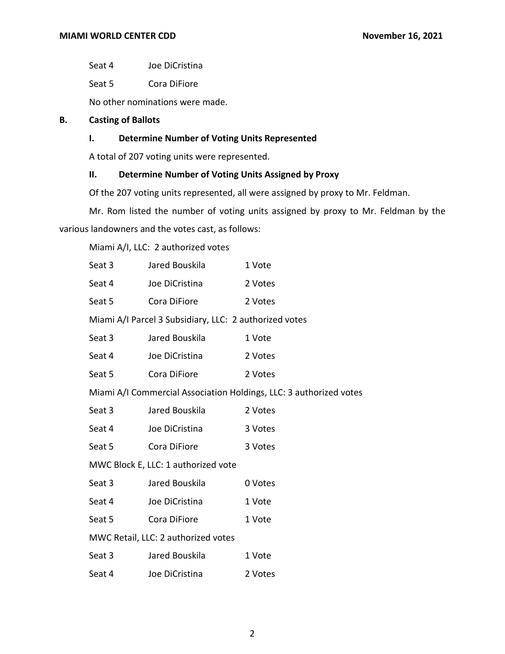Seat 4 Joe DiCristina

Seat 5 Cora DiFiore

No other nominations were made.

# **B. Casting of Ballots**

# **I. Determine Number of Voting Units Represented**

A total of 207 voting units were represented.

# **II. Determine Number of Voting Units Assigned by Proxy**

Of the 207 voting units represented, all were assigned by proxy to Mr. Feldman.

Mr. Rom listed the number of voting units assigned by proxy to Mr. Feldman by the various landowners and the votes cast, as follows:

Miami A/I, LLC: 2 authorized votes

| Seat 3                                                             | Jared Bouskila | 1 Vote  |  |  |
|--------------------------------------------------------------------|----------------|---------|--|--|
| Seat 4                                                             | Joe DiCristina | 2 Votes |  |  |
| Seat 5                                                             | Cora DiFiore   | 2 Votes |  |  |
| Miami A/I Parcel 3 Subsidiary, LLC: 2 authorized votes             |                |         |  |  |
| Seat 3                                                             | Jared Bouskila | 1 Vote  |  |  |
| Seat 4                                                             | Joe DiCristina | 2 Votes |  |  |
| Seat 5                                                             | Cora DiFiore   | 2 Votes |  |  |
| Miami A/I Commercial Association Holdings, LLC: 3 authorized votes |                |         |  |  |
| Seat 3                                                             | Jared Bouskila | 2 Votes |  |  |
| Seat 4                                                             | Joe DiCristina | 3 Votes |  |  |
| Seat 5                                                             | Cora DiFiore   | 3 Votes |  |  |
| MWC Block E, LLC: 1 authorized vote                                |                |         |  |  |
| Seat 3                                                             | Jared Bouskila | 0 Votes |  |  |
| Seat 4                                                             | Joe DiCristina | 1 Vote  |  |  |
| Seat 5                                                             | Cora DiFiore   | 1 Vote  |  |  |
| MWC Retail, LLC: 2 authorized votes                                |                |         |  |  |
| Seat 3                                                             | Jared Bouskila | 1 Vote  |  |  |
| Seat 4                                                             | Joe DiCristina | 2 Votes |  |  |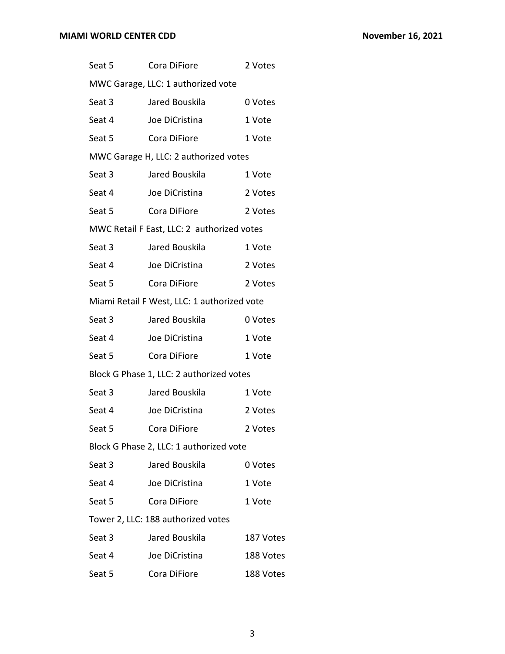| Seat 5                                  | Cora DiFiore                                | 2 Votes   |  |  |  |
|-----------------------------------------|---------------------------------------------|-----------|--|--|--|
| MWC Garage, LLC: 1 authorized vote      |                                             |           |  |  |  |
| Seat 3                                  | Jared Bouskila                              | 0 Votes   |  |  |  |
| Seat 4                                  | Joe DiCristina                              | 1 Vote    |  |  |  |
| Seat 5                                  | Cora DiFiore                                | 1 Vote    |  |  |  |
|                                         | MWC Garage H, LLC: 2 authorized votes       |           |  |  |  |
| Seat 3                                  | Jared Bouskila                              | 1 Vote    |  |  |  |
| Seat 4                                  | Joe DiCristina                              | 2 Votes   |  |  |  |
| Seat 5                                  | Cora DiFiore                                | 2 Votes   |  |  |  |
|                                         | MWC Retail F East, LLC: 2 authorized votes  |           |  |  |  |
| Seat 3                                  | Jared Bouskila                              | 1 Vote    |  |  |  |
| Seat 4                                  | Joe DiCristina                              | 2 Votes   |  |  |  |
| Seat 5                                  | Cora DiFiore                                | 2 Votes   |  |  |  |
|                                         | Miami Retail F West, LLC: 1 authorized vote |           |  |  |  |
| Seat 3                                  | Jared Bouskila                              | 0 Votes   |  |  |  |
| Seat 4                                  | Joe DiCristina                              | 1 Vote    |  |  |  |
| Seat 5                                  | Cora DiFiore                                | 1 Vote    |  |  |  |
|                                         | Block G Phase 1, LLC: 2 authorized votes    |           |  |  |  |
| Seat 3                                  | Jared Bouskila                              | 1 Vote    |  |  |  |
| Seat 4                                  | Joe DiCristina                              | 2 Votes   |  |  |  |
| Seat 5                                  | Cora DiFiore                                | 2 Votes   |  |  |  |
| Block G Phase 2, LLC: 1 authorized vote |                                             |           |  |  |  |
| Seat 3                                  | Jared Bouskila                              | 0 Votes   |  |  |  |
| Seat 4                                  | Joe DiCristina                              | 1 Vote    |  |  |  |
| Seat 5                                  | Cora DiFiore                                | 1 Vote    |  |  |  |
| Tower 2, LLC: 188 authorized votes      |                                             |           |  |  |  |
| Seat 3                                  | Jared Bouskila                              | 187 Votes |  |  |  |
| Seat 4                                  | Joe DiCristina                              | 188 Votes |  |  |  |
| Seat 5                                  | Cora DiFiore                                | 188 Votes |  |  |  |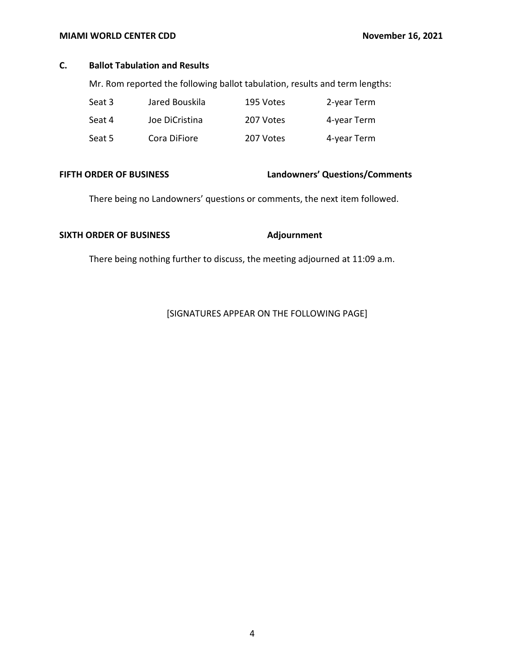#### **MIAMI WORLD CENTER CDD** November 16, 2021

### **C. Ballot Tabulation and Results**

Mr. Rom reported the following ballot tabulation, results and term lengths:

| Seat 3 | Jared Bouskila | 195 Votes | 2-year Term |
|--------|----------------|-----------|-------------|
| Seat 4 | Joe DiCristina | 207 Votes | 4-year Term |
| Seat 5 | Cora DiFiore   | 207 Votes | 4-year Term |

# **FIFTH ORDER OF BUSINESS Landowners' Questions/Comments**

There being no Landowners' questions or comments, the next item followed.

# SIXTH ORDER OF BUSINESS Adjournment

There being nothing further to discuss, the meeting adjourned at 11:09 a.m.

[SIGNATURES APPEAR ON THE FOLLOWING PAGE]